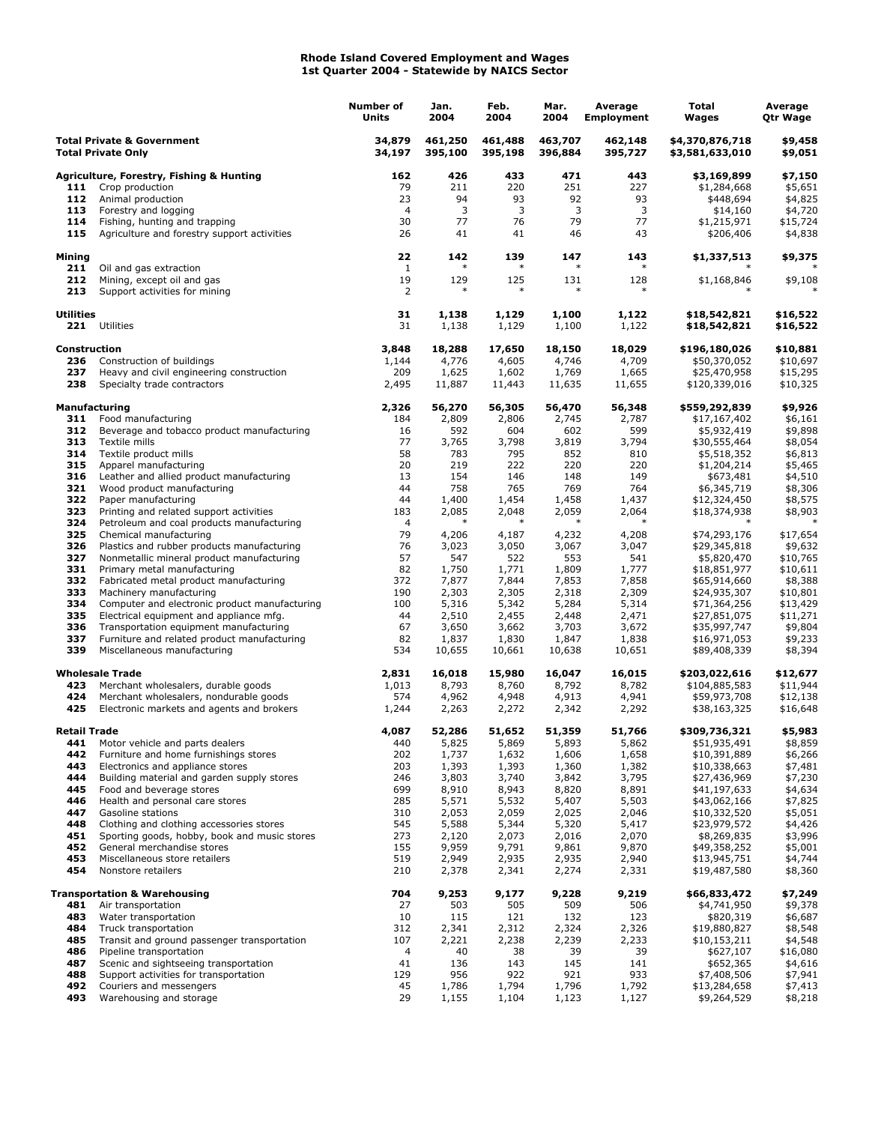## **Rhode Island Covered Employment and Wages 1st Quarter 2004 - Statewide by NAICS Sector**

|                                                                    |                                                                                      | <b>Number of</b><br>Units | Jan.<br>2004       | Feb.<br>2004       | Mar.<br>2004       | Average<br><b>Employment</b> | Total<br>Wages                     | Average<br>Qtr Wage  |
|--------------------------------------------------------------------|--------------------------------------------------------------------------------------|---------------------------|--------------------|--------------------|--------------------|------------------------------|------------------------------------|----------------------|
| <b>Total Private &amp; Government</b><br><b>Total Private Only</b> |                                                                                      | 34,879<br>34,197          | 461,250<br>395,100 | 461,488<br>395,198 | 463,707<br>396,884 | 462,148<br>395,727           | \$4,370,876,718<br>\$3,581,633,010 | \$9,458<br>\$9,051   |
|                                                                    | Agriculture, Forestry, Fishing & Hunting                                             | 162                       | 426                | 433                | 471                | 443                          | \$3,169,899                        | \$7,150              |
| 111                                                                | Crop production                                                                      | 79                        | 211                | 220                | 251                | 227                          | \$1,284,668                        | \$5,651              |
| 112                                                                | Animal production                                                                    | 23                        | 94                 | 93                 | 92                 | 93                           | \$448,694                          | \$4,825              |
| 113                                                                | Forestry and logging                                                                 | $\overline{4}$            | 3                  | 3                  | 3                  | 3                            | \$14,160                           | \$4,720              |
| 114<br>115                                                         | Fishing, hunting and trapping                                                        | 30                        | 77<br>41           | 76<br>41           | 79<br>46           | 77<br>43                     | \$1,215,971                        | \$15,724             |
|                                                                    | Agriculture and forestry support activities                                          | 26                        |                    |                    |                    |                              | \$206,406                          | \$4,838              |
| <b>Mining</b><br>211                                               | Oil and gas extraction                                                               | 22<br>$\mathbf{1}$        | 142                | 139                | 147<br>$\ast$      | 143                          | \$1,337,513                        | \$9,375              |
| 212<br>213                                                         | Mining, except oil and gas<br>Support activities for mining                          | 19<br>2                   | 129<br>$\ast$      | 125<br>$\ast$      | 131<br>$\ast$      | 128<br>$\ast$                | \$1,168,846                        | \$9,108              |
| <b>Utilities</b>                                                   | 221 Utilities                                                                        | 31<br>31                  | 1,138<br>1,138     | 1,129<br>1,129     | 1,100<br>1,100     | 1,122<br>1,122               | \$18,542,821<br>\$18,542,821       | \$16,522<br>\$16,522 |
| Construction                                                       |                                                                                      | 3,848                     | 18,288             | 17,650             | 18,150             | 18,029                       | \$196,180,026                      | \$10,881             |
| 236                                                                | Construction of buildings                                                            | 1,144                     | 4,776              | 4,605              | 4,746              | 4,709                        | \$50,370,052                       | \$10,697             |
| 237                                                                | Heavy and civil engineering construction                                             | 209                       | 1,625              | 1,602              | 1,769              | 1,665                        | \$25,470,958                       | \$15,295             |
| 238                                                                | Specialty trade contractors                                                          | 2,495                     | 11,887             | 11,443             | 11,635             | 11,655                       | \$120,339,016                      | \$10,325             |
| <b>Manufacturing</b><br>311                                        | Food manufacturing                                                                   | 2,326<br>184              | 56,270<br>2,809    | 56,305<br>2,806    | 56,470<br>2,745    | 56,348<br>2,787              | \$559,292,839<br>\$17,167,402      | \$9,926<br>\$6,161   |
| 312                                                                | Beverage and tobacco product manufacturing                                           | 16                        | 592                | 604                | 602                | 599                          | \$5,932,419                        | \$9,898              |
| 313                                                                | Textile mills                                                                        | 77                        | 3,765              | 3,798              | 3,819              | 3,794                        | \$30,555,464                       | \$8,054              |
| 314                                                                | Textile product mills                                                                | 58                        | 783                | 795                | 852                | 810                          | \$5,518,352                        | \$6,813              |
| 315                                                                | Apparel manufacturing                                                                | 20                        | 219                | 222                | 220                | 220                          | \$1,204,214                        | \$5,465              |
| 316                                                                | Leather and allied product manufacturing                                             | 13                        | 154                | 146                | 148                | 149                          | \$673,481                          | \$4,510              |
| 321                                                                | Wood product manufacturing                                                           | 44                        | 758                | 765                | 769                | 764                          | \$6,345,719                        | \$8,306              |
| 322                                                                | Paper manufacturing                                                                  | 44                        | 1,400              | 1,454              | 1,458              | 1,437                        | \$12,324,450                       | \$8,575              |
| 323<br>324                                                         | Printing and related support activities<br>Petroleum and coal products manufacturing | 183<br>$\overline{4}$     | 2,085              | 2,048<br>$\ast$    | 2,059              | 2,064                        | \$18,374,938                       | \$8,903              |
| 325                                                                | Chemical manufacturing                                                               | 79                        | 4,206              | 4,187              | 4,232              | 4,208                        | \$74,293,176                       | \$17,654             |
| 326                                                                | Plastics and rubber products manufacturing                                           | 76                        | 3,023              | 3,050              | 3,067              | 3,047                        | \$29,345,818                       | \$9,632              |
| 327                                                                | Nonmetallic mineral product manufacturing                                            | 57                        | 547                | 522                | 553                | 541                          | \$5,820,470                        | \$10,765             |
| 331                                                                | Primary metal manufacturing                                                          | 82                        | 1,750              | 1,771              | 1,809              | 1,777                        | \$18,851,977                       | \$10,611             |
| 332                                                                | Fabricated metal product manufacturing                                               | 372                       | 7,877              | 7,844              | 7,853              | 7,858                        | \$65,914,660                       | \$8,388              |
| 333                                                                | Machinery manufacturing                                                              | 190                       | 2,303              | 2,305              | 2,318              | 2,309                        | \$24,935,307                       | \$10,801             |
| 334                                                                | Computer and electronic product manufacturing                                        | 100                       | 5,316              | 5,342              | 5,284              | 5,314                        | \$71,364,256                       | \$13,429             |
| 335<br>336                                                         | Electrical equipment and appliance mfg.<br>Transportation equipment manufacturing    | 44<br>67                  | 2,510<br>3,650     | 2,455<br>3,662     | 2,448<br>3,703     | 2,471<br>3,672               | \$27,851,075<br>\$35,997,747       | \$11,271<br>\$9,804  |
| 337                                                                | Furniture and related product manufacturing                                          | 82                        | 1,837              | 1,830              | 1,847              | 1,838                        | \$16,971,053                       | \$9,233              |
| 339                                                                | Miscellaneous manufacturing                                                          | 534                       | 10,655             | 10,661             | 10,638             | 10,651                       | \$89,408,339                       | \$8,394              |
|                                                                    | <b>Wholesale Trade</b>                                                               | 2,831                     | 16,018             | 15,980             | 16,047             | 16,015                       | \$203,022,616                      | \$12,677             |
| 423                                                                | Merchant wholesalers, durable goods                                                  | 1,013                     | 8,793              | 8,760              | 8,792              | 8,782                        | \$104,885,583                      | \$11,944             |
| 424<br>425                                                         | Merchant wholesalers, nondurable goods                                               | 574                       | 4,962              | 4,948              | 4,913              | 4,941                        | \$59,973,708                       | \$12,138             |
|                                                                    | Electronic markets and agents and brokers                                            | 1,244                     | 2,263              | 2,272              | 2,342              | 2,292                        | \$38,163,325                       | \$16,648             |
| <b>Retail Trade</b>                                                |                                                                                      | 4,087                     | 52,286             | 51,652             | 51,359             | 51,766                       | \$309,736,321                      | \$5,983              |
| 441<br>442                                                         | Motor vehicle and parts dealers                                                      | 440                       | 5,825              | 5,869              | 5,893              | 5,862                        | \$51,935,491                       | \$8,859              |
| 443                                                                | Furniture and home furnishings stores<br>Electronics and appliance stores            | 202<br>203                | 1,737<br>1,393     | 1,632<br>1,393     | 1,606<br>1,360     | 1,658<br>1,382               | \$10,391,889<br>\$10,338,663       | \$6,266<br>\$7,481   |
| 444                                                                | Building material and garden supply stores                                           | 246                       | 3,803              | 3,740              | 3,842              | 3,795                        | \$27,436,969                       | \$7,230              |
| 445                                                                | Food and beverage stores                                                             | 699                       | 8,910              | 8,943              | 8,820              | 8,891                        | \$41,197,633                       | \$4,634              |
| 446                                                                | Health and personal care stores                                                      | 285                       | 5,571              | 5,532              | 5,407              | 5,503                        | \$43,062,166                       | \$7,825              |
| 447                                                                | Gasoline stations                                                                    | 310                       | 2,053              | 2,059              | 2,025              | 2,046                        | \$10,332,520                       | \$5,051              |
| 448                                                                | Clothing and clothing accessories stores                                             | 545                       | 5,588              | 5,344              | 5,320              | 5,417                        | \$23,979,572                       | \$4,426              |
| 451                                                                | Sporting goods, hobby, book and music stores                                         | 273                       | 2,120              | 2,073              | 2,016              | 2,070                        | \$8,269,835                        | \$3,996              |
| 452<br>453                                                         | General merchandise stores                                                           | 155<br>519                | 9,959<br>2,949     | 9,791              | 9,861              | 9,870                        | \$49,358,252                       | \$5,001              |
| 454                                                                | Miscellaneous store retailers<br>Nonstore retailers                                  | 210                       | 2,378              | 2,935<br>2,341     | 2,935<br>2,274     | 2,940<br>2,331               | \$13,945,751<br>\$19,487,580       | \$4,744<br>\$8,360   |
|                                                                    | <b>Transportation &amp; Warehousing</b>                                              | 704                       | 9,253              | 9,177              | 9,228              | 9,219                        | \$66,833,472                       | \$7,249              |
| 481                                                                | Air transportation                                                                   | 27                        | 503                | 505                | 509                | 506                          | \$4,741,950                        | \$9,378              |
| 483                                                                | Water transportation                                                                 | 10                        | 115                | 121                | 132                | 123                          | \$820,319                          | \$6,687              |
| 484                                                                | Truck transportation                                                                 | 312                       | 2,341              | 2,312              | 2,324              | 2,326                        | \$19,880,827                       | \$8,548              |
| 485                                                                | Transit and ground passenger transportation                                          | 107                       | 2,221              | 2,238              | 2,239              | 2,233                        | \$10,153,211                       | \$4,548              |
| 486                                                                | Pipeline transportation                                                              | $\overline{4}$            | 40                 | 38                 | 39                 | 39                           | \$627,107                          | \$16,080             |
| 487                                                                | Scenic and sightseeing transportation                                                | 41                        | 136                | 143                | 145                | 141                          | \$652,365                          | \$4,616              |
| 488<br>492                                                         | Support activities for transportation<br>Couriers and messengers                     | 129<br>45                 | 956<br>1,786       | 922<br>1,794       | 921<br>1,796       | 933<br>1,792                 | \$7,408,506<br>\$13,284,658        | \$7,941<br>\$7,413   |
| 493                                                                | Warehousing and storage                                                              | 29                        | 1,155              | 1,104              | 1,123              | 1,127                        | \$9,264,529                        | \$8,218              |
|                                                                    |                                                                                      |                           |                    |                    |                    |                              |                                    |                      |